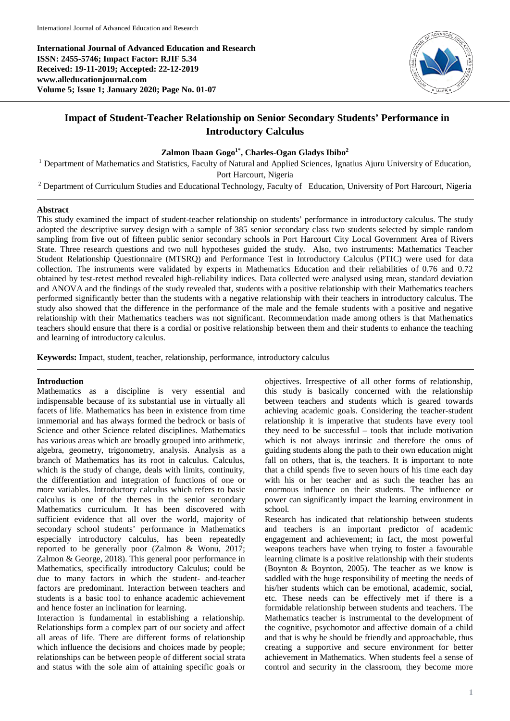**International Journal of Advanced Education and Research ISSN: 2455-5746; Impact Factor: RJIF 5.34 Received: 19-11-2019; Accepted: 22-12-2019 www.alleducationjournal.com Volume 5; Issue 1; January 2020; Page No. 01-07**



# **Impact of Student-Teacher Relationship on Senior Secondary Students' Performance in Introductory Calculus**

# Zalmon Ibaan Gogo<sup>1\*</sup>, Charles-Ogan Gladys Ibibo<sup>2</sup>

<sup>1</sup> Department of Mathematics and Statistics, Faculty of Natural and Applied Sciences, Ignatius Ajuru University of Education,

Port Harcourt, Nigeria

<sup>2</sup> Department of Curriculum Studies and Educational Technology, Faculty of Education, University of Port Harcourt, Nigeria

#### **Abstract**

This study examined the impact of student-teacher relationship on students' performance in introductory calculus. The study adopted the descriptive survey design with a sample of 385 senior secondary class two students selected by simple random sampling from five out of fifteen public senior secondary schools in Port Harcourt City Local Government Area of Rivers State. Three research questions and two null hypotheses guided the study. Also, two instruments: Mathematics Teacher Student Relationship Questionnaire (MTSRQ) and Performance Test in Introductory Calculus (PTIC) were used for data collection. The instruments were validated by experts in Mathematics Education and their reliabilities of 0.76 and 0.72 obtained by test-retest method revealed high-reliability indices. Data collected were analysed using mean, standard deviation and ANOVA and the findings of the study revealed that, students with a positive relationship with their Mathematics teachers performed significantly better than the students with a negative relationship with their teachers in introductory calculus. The study also showed that the difference in the performance of the male and the female students with a positive and negative relationship with their Mathematics teachers was not significant. Recommendation made among others is that Mathematics teachers should ensure that there is a cordial or positive relationship between them and their students to enhance the teaching and learning of introductory calculus.

**Keywords:** Impact, student, teacher, relationship, performance, introductory calculus

# **Introduction**

Mathematics as a discipline is very essential and indispensable because of its substantial use in virtually all facets of life. Mathematics has been in existence from time immemorial and has always formed the bedrock or basis of Science and other Science related disciplines. Mathematics has various areas which are broadly grouped into arithmetic, algebra, geometry, trigonometry, analysis. Analysis as a branch of Mathematics has its root in calculus. Calculus, which is the study of change, deals with limits, continuity, the differentiation and integration of functions of one or more variables. Introductory calculus which refers to basic calculus is one of the themes in the senior secondary Mathematics curriculum. It has been discovered with sufficient evidence that all over the world, majority of secondary school students' performance in Mathematics especially introductory calculus, has been repeatedly reported to be generally poor (Zalmon & Wonu, 2017; Zalmon & George, 2018). This general poor performance in Mathematics, specifically introductory Calculus; could be due to many factors in which the student- and-teacher factors are predominant. Interaction between teachers and students is a basic tool to enhance academic achievement and hence foster an inclination for learning.

Interaction is fundamental in establishing a relationship. Relationships form a complex part of our society and affect all areas of life. There are different forms of relationship which influence the decisions and choices made by people; relationships can be between people of different social strata and status with the sole aim of attaining specific goals or

objectives. Irrespective of all other forms of relationship, this study is basically concerned with the relationship between teachers and students which is geared towards achieving academic goals. Considering the teacher-student relationship it is imperative that students have every tool they need to be successful – tools that include motivation which is not always intrinsic and therefore the onus of guiding students along the path to their own education might fall on others, that is, the teachers. It is important to note that a child spends five to seven hours of his time each day with his or her teacher and as such the teacher has an enormous influence on their students. The influence or power can significantly impact the learning environment in school.

Research has indicated that relationship between students and teachers is an important predictor of academic engagement and achievement; in fact, the most powerful weapons teachers have when trying to foster a favourable learning climate is a positive relationship with their students (Boynton & Boynton, 2005). The teacher as we know is saddled with the huge responsibility of meeting the needs of his/her students which can be emotional, academic, social, etc. These needs can be effectively met if there is a formidable relationship between students and teachers. The Mathematics teacher is instrumental to the development of the cognitive, psychomotor and affective domain of a child and that is why he should be friendly and approachable, thus creating a supportive and secure environment for better achievement in Mathematics. When students feel a sense of control and security in the classroom, they become more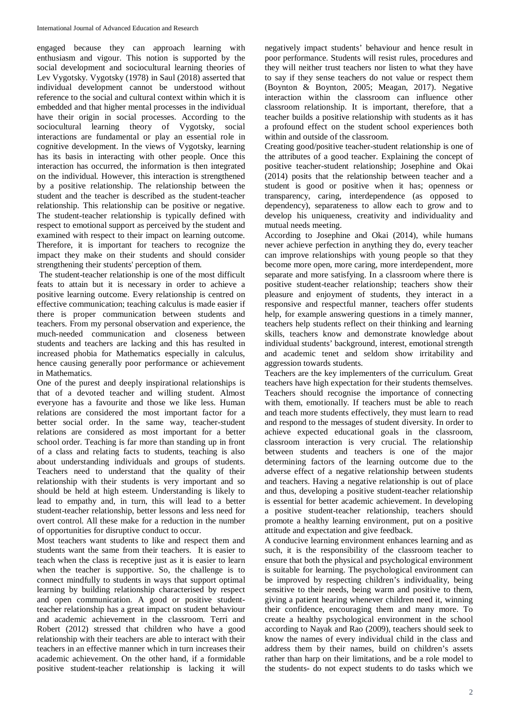engaged because they can approach learning with enthusiasm and vigour. This notion is supported by the social development and sociocultural learning theories of Lev Vygotsky. Vygotsky (1978) in Saul (2018) asserted that individual development cannot be understood without reference to the social and cultural context within which it is embedded and that higher mental processes in the individual have their origin in social processes. According to the sociocultural learning theory of Vygotsky, social interactions are fundamental or play an essential role in cognitive development. In the views of Vygotsky, learning has its basis in interacting with other people. Once this interaction has occurred, the information is then integrated on the individual. However, this interaction is strengthened by a positive relationship. The relationship between the student and the teacher is described as the student-teacher relationship. This relationship can be positive or negative. The student-teacher relationship is typically defined with respect to emotional support as perceived by the student and examined with respect to their impact on learning outcome. Therefore, it is important for teachers to recognize the impact they make on their students and should consider strengthening their students' perception of them.

The student-teacher relationship is one of the most difficult feats to attain but it is necessary in order to achieve a positive learning outcome. Every relationship is centred on effective communication; teaching calculus is made easier if there is proper communication between students and teachers. From my personal observation and experience, the much-needed communication and closeness between students and teachers are lacking and this has resulted in increased phobia for Mathematics especially in calculus, hence causing generally poor performance or achievement in Mathematics.

One of the purest and deeply inspirational relationships is that of a devoted teacher and willing student. Almost everyone has a favourite and those we like less. Human relations are considered the most important factor for a better social order. In the same way, teacher-student relations are considered as most important for a better school order. Teaching is far more than standing up in front of a class and relating facts to students, teaching is also about understanding individuals and groups of students. Teachers need to understand that the quality of their relationship with their students is very important and so should be held at high esteem. Understanding is likely to lead to empathy and, in turn, this will lead to a better student-teacher relationship, better lessons and less need for overt control. All these make for a reduction in the number of opportunities for disruptive conduct to occur.

Most teachers want students to like and respect them and students want the same from their teachers. It is easier to teach when the class is receptive just as it is easier to learn when the teacher is supportive. So, the challenge is to connect mindfully to students in ways that support optimal learning by building relationship characterised by respect and open communication. A good or positive studentteacher relationship has a great impact on student behaviour and academic achievement in the classroom. Terri and Robert (2012) stressed that children who have a good relationship with their teachers are able to interact with their teachers in an effective manner which in turn increases their academic achievement. On the other hand, if a formidable positive student-teacher relationship is lacking it will

negatively impact students' behaviour and hence result in poor performance. Students will resist rules, procedures and they will neither trust teachers nor listen to what they have to say if they sense teachers do not value or respect them (Boynton & Boynton, 2005; Meagan, 2017). Negative interaction within the classroom can influence other classroom relationship. It is important, therefore, that a teacher builds a positive relationship with students as it has a profound effect on the student school experiences both within and outside of the classroom.

Creating good/positive teacher-student relationship is one of the attributes of a good teacher. Explaining the concept of positive teacher-student relationship; Josephine and Okai (2014) posits that the relationship between teacher and a student is good or positive when it has; openness or transparency, caring, interdependence (as opposed to dependency), separateness to allow each to grow and to develop his uniqueness, creativity and individuality and mutual needs meeting.

According to Josephine and Okai (2014), while humans never achieve perfection in anything they do, every teacher can improve relationships with young people so that they become more open, more caring, more interdependent, more separate and more satisfying. In a classroom where there is positive student-teacher relationship; teachers show their pleasure and enjoyment of students, they interact in a responsive and respectful manner, teachers offer students help, for example answering questions in a timely manner, teachers help students reflect on their thinking and learning skills, teachers know and demonstrate knowledge about individual students' background, interest, emotional strength and academic tenet and seldom show irritability and aggression towards students.

Teachers are the key implementers of the curriculum. Great teachers have high expectation for their students themselves. Teachers should recognise the importance of connecting with them, emotionally. If teachers must be able to reach and teach more students effectively, they must learn to read and respond to the messages of student diversity. In order to achieve expected educational goals in the classroom, classroom interaction is very crucial. The relationship between students and teachers is one of the major determining factors of the learning outcome due to the adverse effect of a negative relationship between students and teachers. Having a negative relationship is out of place and thus, developing a positive student-teacher relationship is essential for better academic achievement. In developing a positive student-teacher relationship, teachers should promote a healthy learning environment, put on a positive attitude and expectation and give feedback.

A conducive learning environment enhances learning and as such, it is the responsibility of the classroom teacher to ensure that both the physical and psychological environment is suitable for learning. The psychological environment can be improved by respecting children's individuality, being sensitive to their needs, being warm and positive to them, giving a patient hearing whenever children need it, winning their confidence, encouraging them and many more. To create a healthy psychological environment in the school according to Nayak and Rao (2009), teachers should seek to know the names of every individual child in the class and address them by their names, build on children's assets rather than harp on their limitations, and be a role model to the students- do not expect students to do tasks which we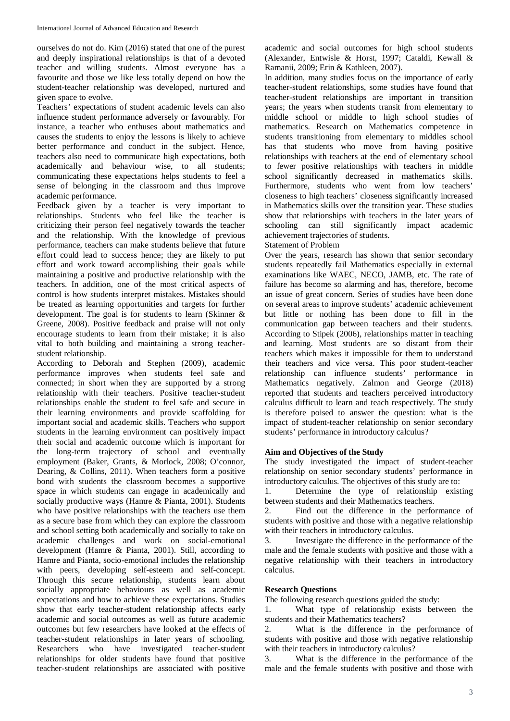ourselves do not do. Kim (2016) stated that one of the purest and deeply inspirational relationships is that of a devoted teacher and willing students. Almost everyone has a favourite and those we like less totally depend on how the student-teacher relationship was developed, nurtured and given space to evolve.

Teachers' expectations of student academic levels can also influence student performance adversely or favourably. For instance, a teacher who enthuses about mathematics and causes the students to enjoy the lessons is likely to achieve better performance and conduct in the subject. Hence, teachers also need to communicate high expectations, both academically and behaviour wise, to all students; communicating these expectations helps students to feel a sense of belonging in the classroom and thus improve academic performance.

Feedback given by a teacher is very important to relationships. Students who feel like the teacher is criticizing their person feel negatively towards the teacher and the relationship. With the knowledge of previous performance, teachers can make students believe that future effort could lead to success hence; they are likely to put effort and work toward accomplishing their goals while maintaining a positive and productive relationship with the teachers. In addition, one of the most critical aspects of control is how students interpret mistakes. Mistakes should be treated as learning opportunities and targets for further development. The goal is for students to learn (Skinner & Greene, 2008). Positive feedback and praise will not only encourage students to learn from their mistake; it is also vital to both building and maintaining a strong teacherstudent relationship.

According to Deborah and Stephen (2009), academic performance improves when students feel safe and connected; in short when they are supported by a strong relationship with their teachers. Positive teacher-student relationships enable the student to feel safe and secure in their learning environments and provide scaffolding for important social and academic skills. Teachers who support students in the learning environment can positively impact their social and academic outcome which is important for the long-term trajectory of school and eventually employment (Baker, Grants, & Morlock, 2008; O'connor, Dearing, & Collins, 2011). When teachers form a positive bond with students the classroom becomes a supportive space in which students can engage in academically and socially productive ways (Hamre & Pianta, 2001). Students who have positive relationships with the teachers use them as a secure base from which they can explore the classroom and school setting both academically and socially to take on academic challenges and work on social-emotional development (Hamre & Pianta, 2001). Still, according to Hamre and Pianta, socio-emotional includes the relationship with peers, developing self-esteem and self-concept. Through this secure relationship, students learn about socially appropriate behaviours as well as academic expectations and how to achieve these expectations. Studies show that early teacher-student relationship affects early academic and social outcomes as well as future academic outcomes but few researchers have looked at the effects of teacher-student relationships in later years of schooling. Researchers who have investigated teacher-student relationships for older students have found that positive teacher-student relationships are associated with positive

academic and social outcomes for high school students (Alexander, Entwisle & Horst, 1997; Cataldi, Kewall & Ramanii, 2009; Erin & Kathleen, 2007).

In addition, many studies focus on the importance of early teacher-student relationships, some studies have found that teacher-student relationships are important in transition years; the years when students transit from elementary to middle school or middle to high school studies of mathematics. Research on Mathematics competence in students transitioning from elementary to middles school has that students who move from having positive relationships with teachers at the end of elementary school to fewer positive relationships with teachers in middle school significantly decreased in mathematics skills. Furthermore, students who went from low teachers' closeness to high teachers' closeness significantly increased in Mathematics skills over the transition year. These studies show that relationships with teachers in the later years of schooling can still significantly impact academic achievement trajectories of students.

### Statement of Problem

Over the years, research has shown that senior secondary students repeatedly fail Mathematics especially in external examinations like WAEC, NECO, JAMB, etc. The rate of failure has become so alarming and has, therefore, become an issue of great concern. Series of studies have been done on several areas to improve students' academic achievement but little or nothing has been done to fill in the communication gap between teachers and their students. According to Stipek (2006), relationships matter in teaching and learning. Most students are so distant from their teachers which makes it impossible for them to understand their teachers and vice versa. This poor student-teacher relationship can influence students' performance in Mathematics negatively. Zalmon and George (2018) reported that students and teachers perceived introductory calculus difficult to learn and teach respectively. The study is therefore poised to answer the question: what is the impact of student-teacher relationship on senior secondary students' performance in introductory calculus?

# **Aim and Objectives of the Study**

The study investigated the impact of student-teacher relationship on senior secondary students' performance in introductory calculus. The objectives of this study are to:

1. Determine the type of relationship existing between students and their Mathematics teachers.

2. Find out the difference in the performance of students with positive and those with a negative relationship with their teachers in introductory calculus.

3. Investigate the difference in the performance of the male and the female students with positive and those with a negative relationship with their teachers in introductory calculus.

# **Research Questions**

The following research questions guided the study:

1. What type of relationship exists between the students and their Mathematics teachers?

2. What is the difference in the performance of students with positive and those with negative relationship with their teachers in introductory calculus?

3. What is the difference in the performance of the male and the female students with positive and those with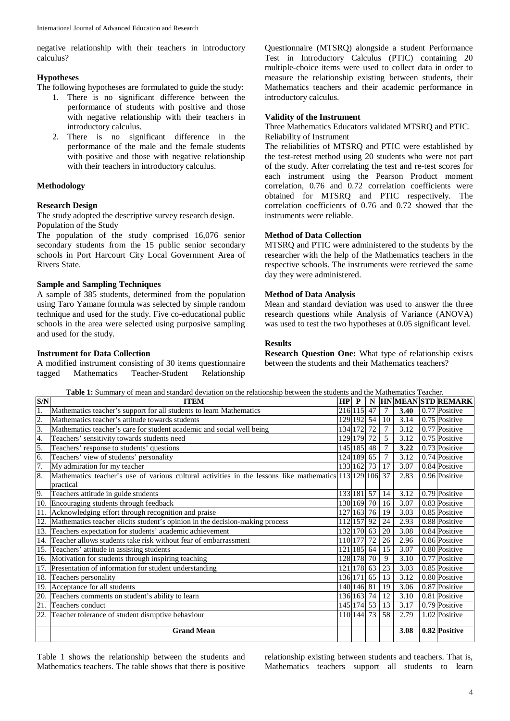negative relationship with their teachers in introductory calculus?

#### **Hypotheses**

The following hypotheses are formulated to guide the study:

- 1. There is no significant difference between the performance of students with positive and those with negative relationship with their teachers in introductory calculus.
- 2. There is no significant difference in the performance of the male and the female students with positive and those with negative relationship with their teachers in introductory calculus.

# **Methodology**

# **Research Design**

The study adopted the descriptive survey research design. Population of the Study

The population of the study comprised 16,076 senior secondary students from the 15 public senior secondary schools in Port Harcourt City Local Government Area of Rivers State.

# **Sample and Sampling Techniques**

A sample of 385 students, determined from the population using Taro Yamane formula was selected by simple random technique and used for the study. Five co-educational public schools in the area were selected using purposive sampling and used for the study.

### **Instrument for Data Collection**

A modified instrument consisting of 30 items questionnaire tagged Mathematics Teacher-Student Relationship

Questionnaire (MTSRQ) alongside a student Performance Test in Introductory Calculus (PTIC) containing 20 multiple-choice items were used to collect data in order to measure the relationship existing between students, their Mathematics teachers and their academic performance in introductory calculus.

### **Validity of the Instrument**

Three Mathematics Educators validated MTSRQ and PTIC. Reliability of Instrument

The reliabilities of MTSRQ and PTIC were established by the test-retest method using 20 students who were not part of the study. After correlating the test and re-test scores for each instrument using the Pearson Product moment correlation, 0.76 and 0.72 correlation coefficients were obtained for MTSRQ and PTIC respectively. The correlation coefficients of 0.76 and 0.72 showed that the instruments were reliable.

#### **Method of Data Collection**

MTSRQ and PTIC were administered to the students by the researcher with the help of the Mathematics teachers in the respective schools. The instruments were retrieved the same day they were administered.

#### **Method of Data Analysis**

Mean and standard deviation was used to answer the three research questions while Analysis of Variance (ANOVA) was used to test the two hypotheses at 0.05 significant level.

#### **Results**

**Research Question One:** What type of relationship exists between the students and their Mathematics teachers?

**Table 1:** Summary of mean and standard deviation on the relationship between the students and the Mathematics Teacher.

| S/N              | <b>Table 1.</b> Summary of mean and standard deviation on the relationship between the students and the Mathematics Teacher.<br><b>ITEM</b> | $HP$ $P$   |            |    |                |      | N  HN MEAN STD REMARK      |
|------------------|---------------------------------------------------------------------------------------------------------------------------------------------|------------|------------|----|----------------|------|----------------------------|
|                  | Mathematics teacher's support for all students to learn Mathematics                                                                         |            | 216 115    | 47 | 7              | 3.40 | 0.77 Positive              |
| $\overline{2}$ . | Mathematics teacher's attitude towards students                                                                                             |            | 129 192    | 54 | 10             | 3.14 | 0.75 Positive              |
| 3.               | Mathematics teacher's care for student academic and social well being                                                                       |            | 134 172    | 72 | 7              | 3.12 | 0.77 Positive              |
| 4.               | Teachers' sensitivity towards students need                                                                                                 |            | 129 179    | 72 | $\overline{5}$ | 3.12 | $\overline{0.75}$ Positive |
| 5.               | Teachers' response to students' questions                                                                                                   |            | 145 185    | 48 | $\overline{7}$ | 3.22 | $\overline{0.73}$ Positive |
| 6.               | Teachers' view of students' personality                                                                                                     |            | 124 189    | 65 | 7              | 3.12 | 0.74 Positive              |
| 7.               | My admiration for my teacher                                                                                                                |            | 133 162    | 73 | 17             | 3.07 | 0.84 Positive              |
| 8.               | Mathematics teacher's use of various cultural activities in the lessons like mathematics 113 129 106 37<br>practical                        |            |            |    |                | 2.83 | 0.96 Positive              |
| 9.               | Teachers attitude in guide students                                                                                                         |            | 133 181    | 57 | 14             | 3.12 | 0.79 Positive              |
| 10.              | Encouraging students through feedback                                                                                                       |            | 130 169    | 70 | 16             | 3.07 | 0.83 Positive              |
| 11.              | Acknowledging effort through recognition and praise                                                                                         |            | 127 163    | 76 | 19             | 3.03 | 0.85 Positive              |
| 12.              | Mathematics teacher elicits student's opinion in the decision-making process                                                                |            | 112 157    | 92 | 24             | 2.93 | 0.88 Positive              |
| 13.              | Teachers expectation for students' academic achievement                                                                                     |            | 132 170    | 63 | 20             | 3.08 | 0.84 Positive              |
| 14.              | Teacher allows students take risk without fear of embarrassment                                                                             |            | 110 177    | 72 | 26             | 2.96 | 0.86 Positive              |
| 15.              | Teachers' attitude in assisting students                                                                                                    |            | 121 185    | 64 | 15             | 3.07 | 0.80 Positive              |
|                  | 16. Motivation for students through inspiring teaching                                                                                      |            | 128 178    | 70 | 9              | 3.10 | 0.77 Positive              |
| 17.              | Presentation of information for student understanding                                                                                       |            | 121 178    | 63 | 23             | 3.03 | 0.85 Positive              |
| 18.              | Teachers personality                                                                                                                        | 136 171    |            | 65 | 13             | 3.12 | 0.80 Positive              |
| 19.              | Acceptance for all students                                                                                                                 |            | 140 146    | 81 | 19             | 3.06 | 0.87 Positive              |
| 20.              | Teachers comments on student's ability to learn                                                                                             |            | 136 163    | 74 | 12             | 3.10 | 0.81 Positive              |
| 21.              | Teachers conduct                                                                                                                            |            | 145 174 53 |    | 13             | 3.17 | 0.79 Positive              |
| 22.              | Teacher tolerance of student disruptive behaviour                                                                                           | 110 144 73 |            |    | 58             | 2.79 | 1.02 Positive              |
|                  | <b>Grand Mean</b>                                                                                                                           |            |            |    |                | 3.08 | 0.82 Positive              |

Table 1 shows the relationship between the students and Mathematics teachers. The table shows that there is positive relationship existing between students and teachers. That is, Mathematics teachers support all students to learn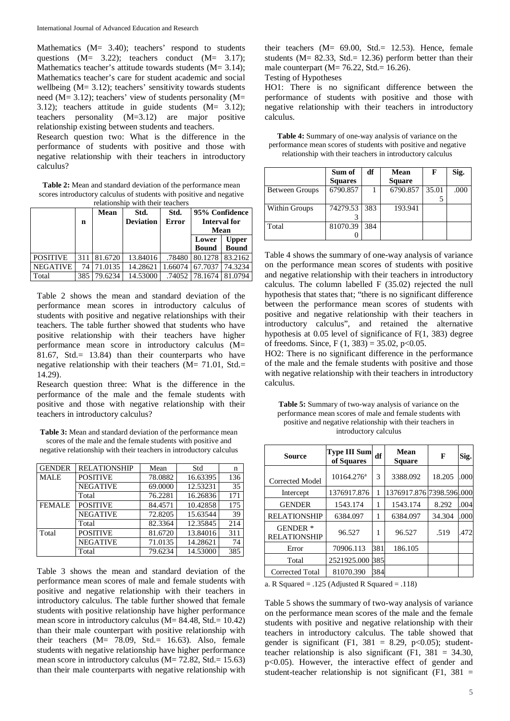Mathematics (M= 3.40); teachers' respond to students questions (M= 3.22); teachers conduct (M= 3.17); Mathematics teacher's attitude towards students (M= 3.14); Mathematics teacher's care for student academic and social wellbeing  $(M= 3.12)$ ; teachers' sensitivity towards students need (M= 3.12); teachers' view of students personality (M= 3.12); teachers attitude in guide students (M= 3.12); teachers personality (M=3.12) are major positive relationship existing between students and teachers.

Research question two: What is the difference in the performance of students with positive and those with negative relationship with their teachers in introductory calculus?

**Table 2:** Mean and standard deviation of the performance mean scores introductory calculus of students with positive and negative  $r_{\text{e}}$ 

|                 | n   | <b>Mean</b> | Std.<br><b>Deviation</b> | Std.<br><b>Error</b> | 95% Confidence<br><b>Interval for</b><br>Mean |                              |
|-----------------|-----|-------------|--------------------------|----------------------|-----------------------------------------------|------------------------------|
|                 |     |             |                          |                      | Lower<br><b>Bound</b>                         | <b>Upper</b><br><b>Bound</b> |
| <b>POSITIVE</b> | 311 | 81.6720     | 13.84016                 | .78480               | 80.1278                                       | 83.2162                      |
| <b>NEGATIVE</b> | 74  | 71.0135     | 14.28621                 | 1.66074              | 67.7037                                       | 74.3234                      |
| Total           | 385 | 79.6234     | 14.53000                 | .74052               | 78.1674                                       | 81.0794                      |

Table 2 shows the mean and standard deviation of the performance mean scores in introductory calculus of students with positive and negative relationships with their teachers. The table further showed that students who have positive relationship with their teachers have higher performance mean score in introductory calculus (M= 81.67, Std.= 13.84) than their counterparts who have negative relationship with their teachers (M= 71.01, Std.= 14.29).

Research question three: What is the difference in the performance of the male and the female students with positive and those with negative relationship with their teachers in introductory calculus?

**Table 3:** Mean and standard deviation of the performance mean scores of the male and the female students with positive and negative relationship with their teachers in introductory calculus

| <b>GENDER</b> | <b>RELATIONSHIP</b> | Mean    | Std      | n   |
|---------------|---------------------|---------|----------|-----|
| <b>MALE</b>   | <b>POSITIVE</b>     | 78.0882 | 16.63395 | 136 |
|               | <b>NEGATIVE</b>     | 69.0000 | 12.53231 | 35  |
|               | Total               | 76.2281 | 16.26836 | 171 |
| <b>FEMALE</b> | <b>POSITIVE</b>     | 84.4571 | 10.42858 | 175 |
|               | <b>NEGATIVE</b>     | 72.8205 | 15.63544 | 39  |
|               | Total               | 82.3364 | 12.35845 | 214 |
| Total         | <b>POSITIVE</b>     | 81.6720 | 13.84016 | 311 |
|               | <b>NEGATIVE</b>     | 71.0135 | 14.28621 | 74  |
|               | Total               | 79.6234 | 14.53000 | 385 |

Table 3 shows the mean and standard deviation of the performance mean scores of male and female students with positive and negative relationship with their teachers in introductory calculus. The table further showed that female students with positive relationship have higher performance mean score in introductory calculus (M= 84.48, Std.= 10.42) than their male counterpart with positive relationship with their teachers (M= 78.09, Std.= 16.63). Also, female students with negative relationship have higher performance mean score in introductory calculus  $(M= 72.82, Std. = 15.63)$ than their male counterparts with negative relationship with

their teachers  $(M= 69.00, \text{Std}= 12.53)$ . Hence, female students (M= 82.33, Std.= 12.36) perform better than their male counterpart ( $M = 76.22$ , Std.= 16.26).

Testing of Hypotheses

HO1: There is no significant difference between the performance of students with positive and those with negative relationship with their teachers in introductory calculus.

| <b>Table 4:</b> Summary of one-way analysis of variance on the |
|----------------------------------------------------------------|
| performance mean scores of students with positive and negative |
| relationship with their teachers in introductory calculus      |

|                      | Sum of         | df  | Mean          | F     | Sig. |
|----------------------|----------------|-----|---------------|-------|------|
|                      | <b>Squares</b> |     | <b>Square</b> |       |      |
| Between Groups       | 6790.857       |     | 6790.857      | 35.01 | .000 |
|                      |                |     |               |       |      |
| <b>Within Groups</b> | 74279.53       | 383 | 193.941       |       |      |
|                      |                |     |               |       |      |
| Total                | 81070.39       | 384 |               |       |      |
|                      |                |     |               |       |      |

Table 4 shows the summary of one-way analysis of variance on the performance mean scores of students with positive and negative relationship with their teachers in introductory calculus. The column labelled F (35.02) rejected the null hypothesis that states that; "there is no significant difference between the performance mean scores of students with positive and negative relationship with their teachers in introductory calculus", and retained the alternative hypothesis at 0.05 level of significance of F(1, 383) degree of freedoms. Since, F  $(1, 383) = 35.02$ , p<0.05.

HO2: There is no significant difference in the performance of the male and the female students with positive and those with negative relationship with their teachers in introductory calculus.

**Table 5:** Summary of two-way analysis of variance on the performance mean scores of male and female students with positive and negative relationship with their teachers in introductory calculus

| <b>Source</b>                          | Type III Sum<br>of Squares | Mean<br>df<br><b>Square</b> |                           | F      | Sig. |
|----------------------------------------|----------------------------|-----------------------------|---------------------------|--------|------|
| Corrected Model                        | $10164.276^a$              | 3                           | 3388.092                  | 18.205 | .000 |
| Intercept                              | 1376917.876                | 1                           | 1376917.876 7398.596 .000 |        |      |
| <b>GENDER</b>                          | 1543.174                   | 1                           | 1543.174                  | 8.292  | .004 |
| <b>RELATIONSHIP</b>                    | 6384.097                   | 1                           | 6384.097                  | 34.304 | .000 |
| <b>GENDER</b> *<br><b>RELATIONSHIP</b> | 96.527                     | 1                           | 96.527                    | .519   | 472  |
| Error                                  | 70906.113                  | 381                         | 186.105                   |        |      |
| Total                                  | 2521925.000                | 385                         |                           |        |      |
| <b>Corrected Total</b>                 | 81070.390                  | 384                         |                           |        |      |

a. R Squared =  $.125$  (Adjusted R Squared =  $.118$ )

Table 5 shows the summary of two-way analysis of variance on the performance mean scores of the male and the female students with positive and negative relationship with their teachers in introductory calculus. The table showed that gender is significant (F1,  $381 = 8.29$ ,  $p < 0.05$ ); studentteacher relationship is also significant  $(F1, 381 = 34.30,$ p<0.05). However, the interactive effect of gender and student-teacher relationship is not significant  $(F1, 381)$  =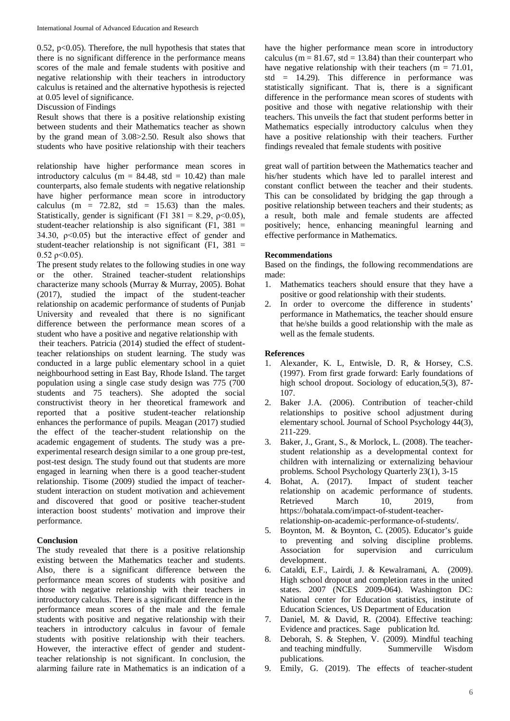0.52,  $p<0.05$ ). Therefore, the null hypothesis that states that there is no significant difference in the performance means scores of the male and female students with positive and negative relationship with their teachers in introductory calculus is retained and the alternative hypothesis is rejected at 0.05 level of significance.

Discussion of Findings

Result shows that there is a positive relationship existing between students and their Mathematics teacher as shown by the grand mean of 3.08>2.50. Result also shows that students who have positive relationship with their teachers

relationship have higher performance mean scores in introductory calculus ( $m = 84.48$ , std = 10.42) than male counterparts, also female students with negative relationship have higher performance mean score in introductory calculus  $(m = 72.82, std = 15.63)$  than the males. Statistically, gender is significant (F1 381 = 8.29,  $\rho$ <0.05), student-teacher relationship is also significant  $(F1, 381)$  = 34.30,  $p<0.05$ ) but the interactive effect of gender and student-teacher relationship is not significant  $(F1, 381)$  $0.52 \text{ o} < 0.05$ ).

The present study relates to the following studies in one way or the other. Strained teacher-student relationships characterize many schools (Murray & Murray, 2005). Bohat (2017), studied the impact of the student-teacher relationship on academic performance of students of Punjab University and revealed that there is no significant difference between the performance mean scores of a student who have a positive and negative relationship with

their teachers. Patricia (2014) studied the effect of studentteacher relationships on student learning. The study was conducted in a large public elementary school in a quiet neighbourhood setting in East Bay, Rhode Island. The target population using a single case study design was 775 (700 students and 75 teachers). She adopted the social constructivist theory in her theoretical framework and reported that a positive student-teacher relationship enhances the performance of pupils. Meagan (2017) studied the effect of the teacher-student relationship on the academic engagement of students. The study was a preexperimental research design similar to a one group pre-test, post-test design. The study found out that students are more engaged in learning when there is a good teacher-student relationship. Tisome (2009) studied the impact of teacherstudent interaction on student motivation and achievement and discovered that good or positive teacher-student interaction boost students' motivation and improve their performance.

# **Conclusion**

The study revealed that there is a positive relationship existing between the Mathematics teacher and students. Also, there is a significant difference between the performance mean scores of students with positive and those with negative relationship with their teachers in introductory calculus. There is a significant difference in the performance mean scores of the male and the female students with positive and negative relationship with their teachers in introductory calculus in favour of female students with positive relationship with their teachers. However, the interactive effect of gender and studentteacher relationship is not significant. In conclusion, the alarming failure rate in Mathematics is an indication of a

have the higher performance mean score in introductory calculus ( $m = 81.67$ , std = 13.84) than their counterpart who have negative relationship with their teachers ( $m = 71.01$ , std  $=$  14.29). This difference in performance was statistically significant. That is, there is a significant difference in the performance mean scores of students with positive and those with negative relationship with their teachers. This unveils the fact that student performs better in Mathematics especially introductory calculus when they have a positive relationship with their teachers. Further findings revealed that female students with positive

great wall of partition between the Mathematics teacher and his/her students which have led to parallel interest and constant conflict between the teacher and their students. This can be consolidated by bridging the gap through a positive relationship between teachers and their students; as a result, both male and female students are affected positively; hence, enhancing meaningful learning and effective performance in Mathematics.

#### **Recommendations**

Based on the findings, the following recommendations are made:

- 1. Mathematics teachers should ensure that they have a positive or good relationship with their students.
- 2. In order to overcome the difference in students' performance in Mathematics, the teacher should ensure that he/she builds a good relationship with the male as well as the female students.

### **References**

- 1. Alexander, K. L, Entwisle, D. R, & Horsey, C.S. (1997). From first grade forward: Early foundations of high school dropout. Sociology of education,5(3), 87- 107.
- 2. Baker J.A. (2006). Contribution of teacher-child relationships to positive school adjustment during elementary school. Journal of School Psychology 44(3), 211-229.
- 3. Baker, J., Grant, S., & Morlock, L. (2008). The teacherstudent relationship as a developmental context for children with internalizing or externalizing behaviour
- problems. School Psychology Quarterly 23(1), 3-15<br>4. Bohat, A. (2017). Impact of student tead Impact of student teacher relationship on academic performance of students.<br>Retrieved March 10. 2019. from Retrieved March 10, 2019, from https://bohatala.com/impact-of-student-teacherrelationship-on-academic-performance-of-students/.
- 5. Boynton, M. & Boynton, C. (2005). Educator's guide to preventing and solving discipline problems. Association for supervision and curriculum development.
- 6. Cataldi, E.F., Lairdi, J. & Kewalramani, A. (2009). High school dropout and completion rates in the united states. 2007 (NCES 2009-064). Washington DC: National center for Education statistics, institute of Education Sciences, US Department of Education
- 7. Daniel, M. & David, R. (2004). Effective teaching: Evidence and practices. Sage publication ltd.
- 8. Deborah, S. & Stephen, V. (2009). Mindful teaching and teaching mindfully. Summerville Wisdom publications.
- 9. Emily, G. (2019). The effects of teacher-student